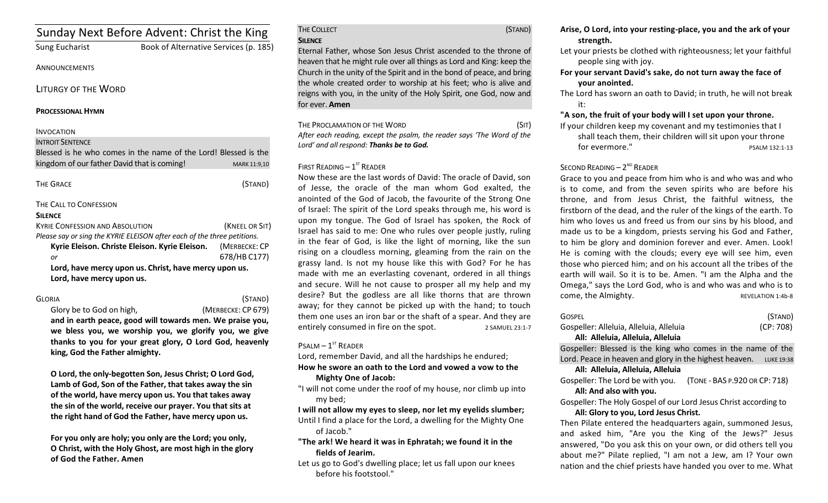| Sunday Next Before Advent: Christ the King                              |                                       |                |
|-------------------------------------------------------------------------|---------------------------------------|----------------|
| <b>Sung Eucharist</b>                                                   | Book of Alternative Services (p. 185) |                |
| <b>ANNOUNCEMENTS</b>                                                    |                                       |                |
| LITURGY OF THE WORD                                                     |                                       |                |
| <b>PROCESSIONAL HYMN</b>                                                |                                       |                |
| <b>INVOCATION</b>                                                       |                                       |                |
| <b>INTROIT SENTENCE</b>                                                 |                                       |                |
| Blessed is he who comes in the name of the Lord! Blessed is the         |                                       |                |
| kingdom of our father David that is coming!                             |                                       | MARK 11:9,10   |
|                                                                         |                                       |                |
| <b>THE GRACE</b>                                                        |                                       | (STAND)        |
| THE CALL TO CONFESSION                                                  |                                       |                |
| <b>SILENCE</b>                                                          |                                       |                |
| <b>KYRIE CONFESSION AND ABSOLUTION</b>                                  |                                       | (KNEEL OR SIT) |
| Please say or sing the KYRIE ELEISON after each of the three petitions. |                                       |                |
| Kyrie Eleison. Christe Eleison. Kyrie Eleison.                          |                                       | (MERBECKE: CP  |
| or                                                                      |                                       | 678/HB C177)   |
| Lord, have mercy upon us. Christ, have mercy upon us.                   |                                       |                |
| Lord, have mercy upon us.                                               |                                       |                |
|                                                                         |                                       |                |

## GLORIA (STAND)

 Glory be to God on high, (MERBECKE: CP 679) and in earth peace, good will towards men. We praise you,

we bless you, we worship you, we glorify you, we give thanks to you for your great glory, O Lord God, heavenly king, God the Father almighty.

**O** Lord, the only-begotten Son, Jesus Christ; O Lord God, Lamb of God, Son of the Father, that takes away the sin of the world, have mercy upon us. You that takes away the sin of the world, receive our prayer. You that sits at the right hand of God the Father, have mercy upon us.

For you only are holy; you only are the Lord; you only, **O** Christ, with the Holy Ghost, are most high in the glory **of God the Father. Amen**

## THE COLLECT (STAND) **SILENCE**

Eternal Father, whose Son Jesus Christ ascended to the throne of heaven that he might rule over all things as Lord and King: keep the Church in the unity of the Spirit and in the bond of peace, and bring the whole created order to worship at his feet; who is alive and reigns with you, in the unity of the Holy Spirit, one God, now and for ever. **Amen** 

THE PROCLAMATION OF THE WORD (SIT)

After each reading, except the psalm, the reader says 'The Word of the Lord' and all respond: Thanks be to God.

# FIRST READING  $-1<sup>ST</sup>$  READER

Now these are the last words of David: The oracle of David, son of Jesse, the oracle of the man whom God exalted, the anointed of the God of Jacob, the favourite of the Strong One of Israel: The spirit of the Lord speaks through me, his word is upon my tongue. The God of Israel has spoken, the Rock of Israel has said to me: One who rules over people justly, ruling in the fear of God, is like the light of morning, like the sun rising on a cloudless morning, gleaming from the rain on the grassy land. Is not my house like this with God? For he has made with me an everlasting covenant, ordered in all things and secure. Will he not cause to prosper all my help and my desire? But the godless are all like thorns that are thrown away; for they cannot be picked up with the hand; to touch them one uses an iron bar or the shaft of a spear. And they are entirely consumed in fire on the spot. 2 SAMUEL 23:1-7

# $P$ SALM –  $1<sup>ST</sup>$  READER

Lord, remember David, and all the hardships he endured;

- How he swore an oath to the Lord and vowed a vow to the **Mighty One of Jacob:**
- "I will not come under the roof of my house, nor climb up into my bed;

**I** will not allow my eyes to sleep, nor let my eyelids slumber; Until I find a place for the Lord, a dwelling for the Mighty One of Jacob."

- "The ark! We heard it was in Ephratah; we found it in the fields of Jearim.
- Let us go to God's dwelling place; let us fall upon our knees before his footstool."
- Arise, O Lord, into your resting-place, you and the ark of your **strength.**
- Let your priests be clothed with righteousness; let your faithful people sing with joy.
- For your servant David's sake, do not turn away the face of **your anointed.**

The Lord has sworn an oath to David; in truth, he will not break it: 

"A son, the fruit of your body will I set upon your throne.

If your children keep my covenant and my testimonies that I

shall teach them, their children will sit upon your throne for evermore." 
Salm 132:1-13

# SECOND READING  $- 2<sup>ND</sup>$  READER

Grace to you and peace from him who is and who was and who is to come, and from the seven spirits who are before his throne, and from Jesus Christ, the faithful witness, the firstborn of the dead, and the ruler of the kings of the earth. To him who loves us and freed us from our sins by his blood, and made us to be a kingdom, priests serving his God and Father, to him be glory and dominion forever and ever. Amen. Look! He is coming with the clouds; every eye will see him, even those who pierced him; and on his account all the tribes of the earth will wail. So it is to be. Amen. "I am the Alpha and the Omega," says the Lord God, who is and who was and who is to come, the Almighty. The state of the Almighty.

| <b>GOSPEL</b>                                                           | (STAND)   |  |
|-------------------------------------------------------------------------|-----------|--|
| Gospeller: Alleluia, Alleluia, Alleluia                                 | (CP: 708) |  |
| All: Alleluia, Alleluia, Alleluia                                       |           |  |
| Gospeller: Blessed is the king who comes in the name of the             |           |  |
| Lord. Peace in heaven and glory in the highest heaven. LUKE 19:38       |           |  |
| All: Alleluia, Alleluia, Alleluia                                       |           |  |
| Gospeller: The Lord be with you. (TONE - BAS P.920 OR CP: 718)          |           |  |
| All: And also with you.                                                 |           |  |
| Gospeller: The Holy Gospel of our Lord Jesus Christ according to        |           |  |
| All: Glory to you, Lord Jesus Christ.                                   |           |  |
| Then Pilate entered the headquarters again, summoned Jesus,             |           |  |
| ويتمعل الامتنيول وعابدتكم ومتكل وعابد يتمين وسفال ومثول المورامون امعرو |           |  |

and asked him, "Are you the King of the Jews?" Jesus answered, "Do you ask this on your own, or did others tell you about me?" Pilate replied, "I am not a Jew, am I? Your own nation and the chief priests have handed you over to me. What